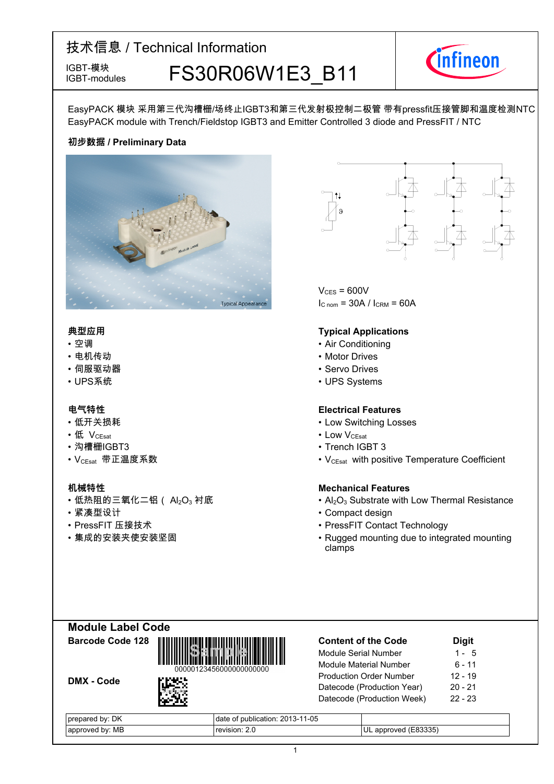IGBT-modules

# IGBT-模块<br>IGBT-modules FS30R06W1E3 B11



EasyPACK 模块 采用第三代沟槽栅/场终止IGBT3和第三代发射极控制二极管 带有pressfit压接管脚和温度检测NTC EasyPACK module with Trench/Fieldstop IGBT3 and Emitter Controlled 3 diode and PressFIT / NTC

## **初步数据-/-Preliminary-Data**



#### **典型应用**

- 
- 电机传动
- 伺服驱动器
- UPS系统 UPS-

- 低开关损耗
- 低
- 沟槽栅IGBT3
- VCEsat--带正温度系数 VCEsat-

- •低热阻的三氧化二铝( Al<sub>2</sub>O $_3$
- 
- PressFIT 压接技术
- 



 $V_{CFS}$  = 600V  $I_{C nom}$  = 30A /  $I_{CRM}$  = 60A

### **Typical Applications**

- 空调 • Air • Air Conditioning
	- Motor Drives
	- Servo Drives
	- UPS Systems

#### **电气特性 Electrical-Features**

- Switching Losses
- V<sub>CEsat</sub> Low  $\cdot$  LOW  $V_{C \text{East}}$ 
	- IGBT-3
	- with positive Temperature Coefficient

## **机械特性 Mechanical-Features**

- 衬底 Al<sub>2</sub>O<sub>3</sub> Substrate with Low Thermal Resistance
- 紧凑型设计 Compact-design
	- 压接技术 PressFIT-Contact-Technology
- 集成的安装夹使安装坚固 Rugged mounting due to integrated mounting clamps

| <b>Module Label Code</b> |  |
|--------------------------|--|
| Barcode Code 128         |  |





**Content-of-the-Code -Digit** Module Serial Number  $1 - 5$ Module Material Number  $6 - 11$ Production Order Number 12 --19 Datecode (Production Year) 20  $-21$ Datecode (Production Week) 22 --23

| . DK<br>. pv:<br>prepared | publication: 2013-11-05<br>ОT<br>date |                            |
|---------------------------|---------------------------------------|----------------------------|
| r: MB<br>d bv<br>approved | revision: 2.0                         | (E83335)<br>approved<br>UL |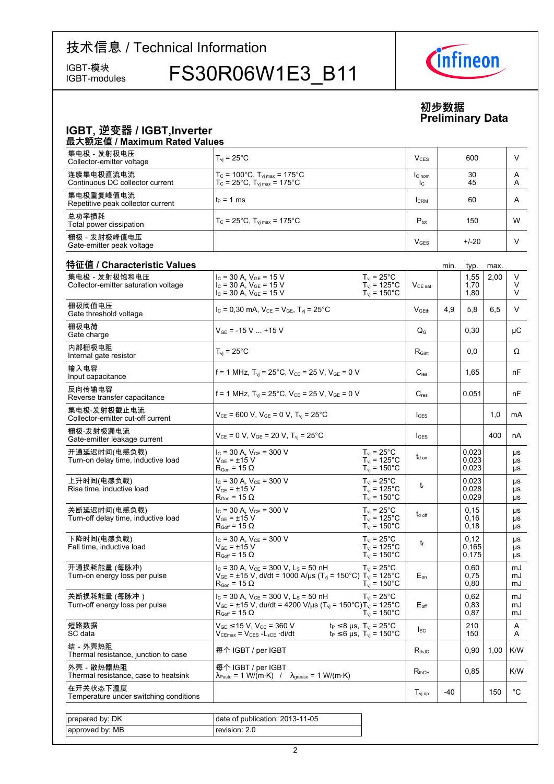IGBT-modules

IGBT-模块 FS30R06W1E3\_B11



## **初步数据 Preliminary-Data**

## **IGBT,-逆变器-/-IGBT,Inverter**

| 最大额定值 / Maximum Rated Values                   |                                                                                                                    |                          |          |        |  |  |  |
|------------------------------------------------|--------------------------------------------------------------------------------------------------------------------|--------------------------|----------|--------|--|--|--|
| 集电极 - 发射极电压<br>Collector-emitter voltage       | $T_{\rm vi}$ = 25 $^{\circ}$ C                                                                                     | $V_{CFS}$                | 600      |        |  |  |  |
| 连续集电极直流电流<br>Continuous DC collector current   | $T_c = 100^{\circ}$ C, $T_{vi \, max} = 175^{\circ}$ C<br>$T_c = 25^{\circ}C$ , $T_{\text{vi max}} = 175^{\circ}C$ | IC <sub>nom</sub><br>Ic. | 30<br>45 | Α<br>A |  |  |  |
| 集电极重复峰值电流<br>Repetitive peak collector current | lt∍ = 1 ms                                                                                                         | <b>CRM</b>               | 60       | Α      |  |  |  |
| 总功率损耗<br>Total power dissipation               | $T_c = 25^{\circ}$ C, $T_{\text{vi max}} = 175^{\circ}$ C                                                          | $P_{\text{tot}}$         | 150      | W      |  |  |  |
| 栅极 - 发射极峰值电压<br>Gate-emitter peak voltage      |                                                                                                                    | V <sub>GES</sub>         | $+/-20$  |        |  |  |  |

| 集电极 - 发射极饱和电压                                       | $I_C = 30 A$ , $V_{GE} = 15 V$                                                                                                                                                    | $T_{\rm vj}$ = 25°C                                                                  |                           |       | 1,55                    | 2,00 | V                            |
|-----------------------------------------------------|-----------------------------------------------------------------------------------------------------------------------------------------------------------------------------------|--------------------------------------------------------------------------------------|---------------------------|-------|-------------------------|------|------------------------------|
| Collector-emitter saturation voltage                | $I_c$ = 30 A, $V_{GE}$ = 15 V<br>$I_C = 30$ A, $V_{GE} = 15$ V                                                                                                                    | $T_{\text{vj}}$ = 125°C<br>$T_{vi}$ = 150 $^{\circ}$ C                               | $V_{CE\ sat}$             |       | 1,70<br>1,80            |      | V<br>V                       |
| 栅极阈值电压<br>Gate threshold voltage                    | $I_c = 0,30$ mA, $V_{CE} = V_{GE}$ , $T_{vi} = 25^{\circ}$ C                                                                                                                      |                                                                                      | V <sub>GEth</sub>         | 4,9   | 5,8                     | 6,5  | V                            |
| 栅极电荷<br>Gate charge                                 | $V_{GE}$ = -15 V  +15 V                                                                                                                                                           |                                                                                      | $\mathsf{Q}_{\mathsf{G}}$ |       | 0,30                    |      | μC                           |
| 内部栅极电阻<br>Internal gate resistor                    | $T_{\rm vj}$ = 25 $^{\circ}$ C                                                                                                                                                    |                                                                                      | $R_{\text{Gint}}$         |       | 0.0                     |      | Ω                            |
| 输入电容<br>Input capacitance                           | f = 1 MHz, $T_{vi}$ = 25°C, $V_{CF}$ = 25 V, $V_{GF}$ = 0 V                                                                                                                       |                                                                                      | $C_{\text{ies}}$          |       | 1,65                    |      | nF                           |
| 反向传输电容<br>Reverse transfer capacitance              | f = 1 MHz, $T_{vi}$ = 25°C, $V_{CE}$ = 25 V, $V_{GE}$ = 0 V                                                                                                                       |                                                                                      | $C_{\mathsf{res}}$        |       | 0.051                   |      | nF                           |
| 集电极-发射极截止电流<br>Collector-emitter cut-off current    | $V_{CE}$ = 600 V, V <sub>GE</sub> = 0 V, T <sub>vi</sub> = 25°C                                                                                                                   |                                                                                      | $l_{\text{CES}}$          |       |                         | 1,0  | mA                           |
| 栅极-发射极漏电流<br>Gate-emitter leakage current           | $V_{CE}$ = 0 V, $V_{GE}$ = 20 V, $T_{vi}$ = 25°C                                                                                                                                  |                                                                                      | $I_{GES}$                 |       |                         | 400  | nA                           |
| 开通延迟时间(电感负载)<br>Turn-on delay time, inductive load  | $I_{C}$ = 30 A, $V_{CF}$ = 300 V<br>$V_{GE}$ = $\pm$ 15 V<br>$R_{\text{Gon}}$ = 15 $\Omega$                                                                                       | $T_{vi}$ = 25°C<br>$T_{\rm vj}$ = 125°C<br>$T_{\rm vj} = 150^{\circ}$ C              | t <sub>d on</sub>         |       | 0,023<br>0,023<br>0,023 |      | μs<br>μs<br>μs               |
| 上升时间(电感负载)<br>Rise time, inductive load             | $I_{C}$ = 30 A, $V_{CF}$ = 300 V<br>$V_{GF}$ = ±15 V<br>$R_{\text{Gon}}$ = 15 $\Omega$                                                                                            | $T_{\rm vj}$ = 25°C<br>$T_{\text{vj}}$ = 125°C<br>$T_{\text{vj}}$ = 150 $^{\circ}$ C | $t_{r}$                   |       | 0,023<br>0,028<br>0,029 |      | <b>US</b><br><b>US</b><br>μs |
| 关断延迟时间(电感负载)<br>Turn-off delay time, inductive load | $I_{C}$ = 30 A, $V_{CF}$ = 300 V<br>$V_{GE}$ = $\pm 15$ V<br>$R_{Goff}$ = 15 $\Omega$                                                                                             | $T_{vi}$ = 25°C<br>$T_{\text{vj}}$ = 125°C<br>$T_{vi}$ = 150 $^{\circ}$ C            | $t_{d \text{ off}}$       |       | 0,15<br>0,16<br>0,18    |      | μs<br><b>US</b><br>μs        |
| 下降时间(电感负载)<br>Fall time, inductive load             | $I_{C}$ = 30 A, $V_{CE}$ = 300 V<br>$V_{GE}$ = $\pm$ 15 V<br>$R_{Goff}$ = 15 $\Omega$                                                                                             | $T_{vi}$ = 25 $^{\circ}$ C<br>$T_{\text{vj}}$ = 125°C<br>$T_{vi}$ = 150 $^{\circ}$ C | $t_{\rm f}$               |       | 0,12<br>0,165<br>0,175  |      | μs<br>μs<br>μs               |
| 开通损耗能量 (每脉冲)<br>Turn-on energy loss per pulse       | $I_c$ = 30 A, $V_{CE}$ = 300 V, L <sub>s</sub> = 50 nH<br>$V_{GE}$ = ±15 V, di/dt = 1000 A/µs (T <sub>vj</sub> = 150°C) T <sub>vj</sub> = 125°C<br>$R_{\text{Gon}}$ = 15 $\Omega$ | $T_{vi}$ = 25°C<br>$T_{vi}$ = 150 $^{\circ}$ C                                       | $E_{on}$                  |       | 0.60<br>0,75<br>0,80    |      | mJ<br>mJ<br>mJ               |
| 关断损耗能量 (每脉冲 )<br>Turn-off energy loss per pulse     | $I_c = 30$ A, $V_{CE} = 300$ V, L <sub>S</sub> = 50 nH<br>$V_{GE}$ = ±15 V, du/dt = 4200 V/µs (T <sub>vj</sub> = 150°C)T <sub>vj</sub> = 125°C<br>$R_{Goff}$ = 15 $\Omega$        | $T_{vi}$ = 25°C<br>$T_{vi}$ = 150 $^{\circ}$ C                                       | $E_{\text{off}}$          |       | 0,62<br>0,83<br>0,87    |      | mJ<br>mJ<br>mJ               |
| 短路数据<br>SC data                                     | $V_{GE}$ $\leq$ 15 V, V <sub>CC</sub> = 360 V<br>Vcemax = Vces -Lsce ·di/dt                                                                                                       | $t_P \leq 8$ µs, $T_{vi} = 25$ °C<br>$t_P \le 6$ µs, $T_{vi} = 150^{\circ}$ C        | $I_{SC}$                  |       | 210<br>150              |      | Α<br>A                       |
| 结 - 外壳热阻<br>Thermal resistance, junction to case    | 每个 IGBT / per IGBT                                                                                                                                                                |                                                                                      | $R_{th,IC}$               |       | 0,90                    | 1,00 | K/W                          |
| 外壳 - 散热器热阻<br>Thermal resistance, case to heatsink  | 每个 IGBT / per IGBT<br>$\lambda_{\text{Paste}} = 1 \text{ W/(m·K)}$ / $\lambda_{\text{grease}} = 1 \text{ W/(m·K)}$                                                                |                                                                                      | $R_{thCH}$                |       | 0,85                    |      | K/W                          |
| 在开关状态下温度<br>Temperature under switching conditions  |                                                                                                                                                                                   |                                                                                      | $T_{\rm vi\,op}$          | $-40$ |                         | 150  | $^{\circ}$ C                 |
|                                                     |                                                                                                                                                                                   |                                                                                      |                           |       |                         |      |                              |
| prepared by: DK                                     | date of publication: 2013-11-05                                                                                                                                                   |                                                                                      |                           |       |                         |      |                              |
| approved by: MB                                     | revision: 2.0                                                                                                                                                                     |                                                                                      |                           |       |                         |      |                              |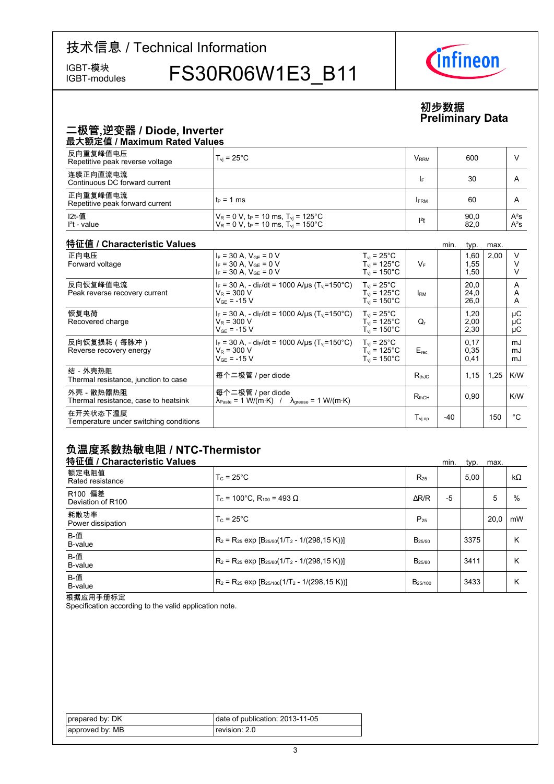IGBT-modules

IGBT-模块 FS30R06W1E3\_B11



## **初步数据 Preliminary-Data**

## 二极管,逆变器 / Diode, Inverter

| 最大额定值 / Maximum Rated Values                |                                                                                                                              |                         |              |                  |  |  |  |
|---------------------------------------------|------------------------------------------------------------------------------------------------------------------------------|-------------------------|--------------|------------------|--|--|--|
| 反向重复峰值电压<br>Repetitive peak reverse voltage | $T_{\rm vi}$ = 25°C                                                                                                          | <b>V</b> <sub>RRM</sub> | 600          |                  |  |  |  |
| 连续正向直流电流<br>Continuous DC forward current   |                                                                                                                              | I۴                      | 30           | A                |  |  |  |
| 正向重复峰值电流<br>Repetitive peak forward current | lt∍ = 1 ms                                                                                                                   | <b>FRM</b>              | 60           | A                |  |  |  |
| I2t-值<br>$l2t$ - value                      | $V_R$ = 0 V, t <sub>P</sub> = 10 ms, T <sub>vi</sub> = 125°C<br>$V_R = 0$ V, t <sub>P</sub> = 10 ms, T <sub>vi</sub> = 150°C | $12$ t                  | 90,0<br>82,0 | $A^2S$<br>$A^2S$ |  |  |  |

#### 特征值 / Characteristic

| 特征值 / Characteristic Values                        |                                                                                                                   |                                                                               |                              | min.  | typ.                 | max. |                |
|----------------------------------------------------|-------------------------------------------------------------------------------------------------------------------|-------------------------------------------------------------------------------|------------------------------|-------|----------------------|------|----------------|
| 正向电压<br>Forward voltage                            | $I_F = 30 A$ , $V_{GF} = 0 V$<br>$I_F = 30 A$ , $V_{GE} = 0 V$<br>$I_F = 30 A$ , $V_{GE} = 0 V$                   | $T_{vi}$ = 25°C<br>$T_{vi}$ = 125 $^{\circ}$ C<br>$T_{vi}$ = 150 $^{\circ}$ C | $V_F$                        |       | 1,60<br>1,55<br>1,50 | 2,00 | $\vee$         |
| 反向恢复峰值电流<br>Peak reverse recovery current          | $I_F = 30$ A, - di <sub>F</sub> /dt = 1000 A/us (T <sub>vi</sub> =150°C)<br>$V_R = 300 V$<br>$V_{GF}$ = -15 V     | $T_{vi}$ = 25°C<br>$T_{vi}$ = 125°C<br>$T_{\rm vi}$ = 150°C                   | <b>IRM</b>                   |       | 20,0<br>24,0<br>26,0 |      | A<br>A<br>A    |
| 恢复电荷<br>Recovered charge                           | $I_F = 30$ A, - di $_F/dt = 1000$ A/us (T <sub>vi</sub> =150 °C)<br>$V_R$ = 300 V<br>$V_{GF}$ = -15 V             | $T_{vi}$ = 25 $^{\circ}$ C<br>$T_{vi}$ = 125°C<br>$T_{\rm vi}$ = 150°C        | Q,                           |       | 1,20<br>2,00<br>2,30 |      | μC<br>μC<br>μC |
| 反向恢复损耗(每脉冲)<br>Reverse recovery energy             | $I_F = 30$ A, - di $_F/dt = 1000$ A/us (T <sub>vi</sub> =150 <sup>o</sup> C)<br>$V_R$ = 300 V<br>$V_{GF}$ = -15 V | $T_{\rm vi}$ = 25°C<br>$T_{vi}$ = 125°C<br>$T_{\rm vi}$ = 150 $^{\circ}$ C    | $E_{rec}$                    |       | 0,17<br>0.35<br>0,41 |      | mJ<br>mJ<br>mJ |
| 结-外壳热阻<br>Thermal resistance, junction to case     | 每个二极管 / per diode                                                                                                 |                                                                               | $R_{th,IC}$                  |       | 1.15                 | 1,25 | K/W            |
| 外壳 - 散热器热阻<br>Thermal resistance, case to heatsink | 每个二极管 / per diode<br>$\lambda_{\text{Paste}} = 1 \text{ W/(m·K)}$ / $\lambda_{\text{grease}} = 1 \text{ W/(m·K)}$ |                                                                               | $\mathsf{R}_{\text{thCH}}$   |       | 0,90                 |      | K/W            |
| 在开关状态下温度<br>Temperature under switching conditions |                                                                                                                   |                                                                               | $\mathsf{T}_\mathsf{vi\ op}$ | $-40$ |                      | 150  | °€             |

## 负温度系数热敏电阻 / NTC-Thermistor

| 特征值 / Characteristic Values  |                                                          |                     | min. | typ. | max. |           |
|------------------------------|----------------------------------------------------------|---------------------|------|------|------|-----------|
| 额定电阻值<br>Rated resistance    | $T_c = 25^{\circ}$ C                                     | $R_{25}$            |      | 5,00 |      | $k\Omega$ |
| R100 偏差<br>Deviation of R100 | $T_c$ = 100°C. R <sub>100</sub> = 493 Ω                  | $\Delta$ R/R        | $-5$ |      | 5    | %         |
| 耗散功率<br>Power dissipation    | $T_c = 25^{\circ}$ C                                     | $P_{25}$            |      |      | 20.0 | mW        |
| B-值<br>B-value               | $R_2 = R_{25}$ exp $[B_{25/50}(1/T_2 - 1/(298, 15 K))]$  | $B_{25/50}$         |      | 3375 |      | Κ         |
| B-值<br>B-value               | $R_2 = R_{25}$ exp $[B_{25/80}(1/T_2 - 1/(298, 15 K))]$  | B <sub>25/80</sub>  |      | 3411 |      | κ         |
| B-值<br>B-value               | $R_2 = R_{25}$ exp $[B_{25/100}(1/T_2 - 1/(298, 15 K))]$ | B <sub>25/100</sub> |      | 3433 |      | κ         |

根据应用手册标定

Specification according to the valid application note.

| prepared by: DK | date of publication: 2013-11-05 |
|-----------------|---------------------------------|
| approved by: MB | revision: 2.0                   |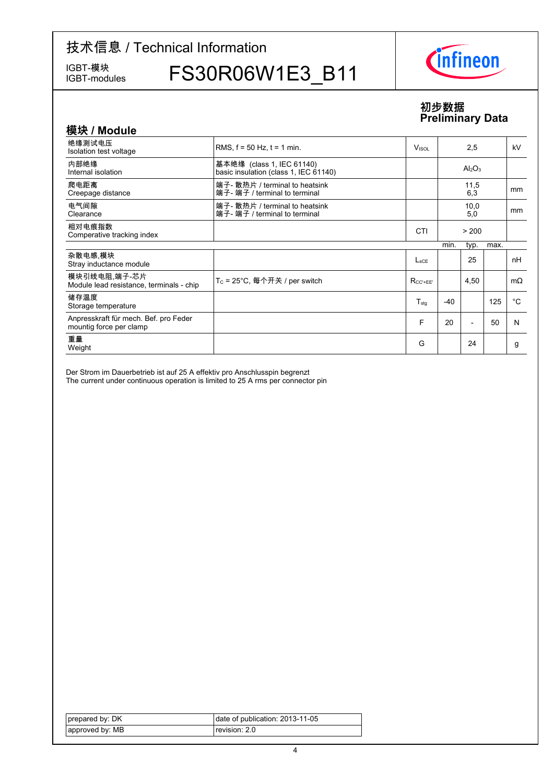IGBT-modules

IGBT-模块 FS30R06W1E3\_B11



## **初步数据 Preliminary-Data**

| 模块 / Module                                                      |                                                                    |                 |       |                                |      |             |
|------------------------------------------------------------------|--------------------------------------------------------------------|-----------------|-------|--------------------------------|------|-------------|
| 绝缘测试电压<br>Isolation test voltage                                 | RMS, $f = 50$ Hz, $t = 1$ min.                                     | Visol           |       | 2,5                            |      | kV          |
| 内部绝缘<br>Internal isolation                                       | 基本绝缘 (class 1, IEC 61140)<br>basic insulation (class 1, IEC 61140) |                 |       | Al <sub>2</sub> O <sub>3</sub> |      |             |
| 爬电距离<br>Creepage distance                                        | 端子- 散热片 / terminal to heatsink<br>端子- 端子 / terminal to terminal    |                 |       | 11,5<br>6,3                    |      | mm          |
| 电气间隙<br>Clearance                                                | 端子- 散热片 / terminal to heatsink<br>端子- 端子 / terminal to terminal    |                 |       | 10,0<br>5,0                    |      | mm          |
| 相对电痕指数<br>Comperative tracking index                             |                                                                    | <b>CTI</b>      |       | > 200                          |      |             |
|                                                                  |                                                                    |                 | min.  | typ.                           | max. |             |
| 杂散电感 模块<br>Stray inductance module                               |                                                                    | $L_{\rm sCF}$   |       | 25                             |      | nH          |
| 模块引线电阻,端子-芯片<br>Module lead resistance, terminals - chip         | T <sub>C</sub> = 25°C, 每个开关 / per switch                           | $R_{CC' + FF'}$ |       | 4,50                           |      | $m\Omega$   |
| 储存温度<br>Storage temperature                                      |                                                                    | $T_{\sf stg}$   | $-40$ |                                | 125  | $^{\circ}C$ |
| Anpresskraft für mech. Bef. pro Feder<br>mountig force per clamp |                                                                    | F               | 20    |                                | 50   | N           |
| 重量<br>Weight                                                     |                                                                    | G               |       | 24                             |      | g           |

Der Strom im Dauerbetrieb ist auf 25 A effektiv pro Anschlusspin begrenzt The current under continuous operation is limited to 25 A rms per connector pin

| prepared by: DK | date of publication: 2013-11-05 |
|-----------------|---------------------------------|
| approved by: MB | revision: 2.0                   |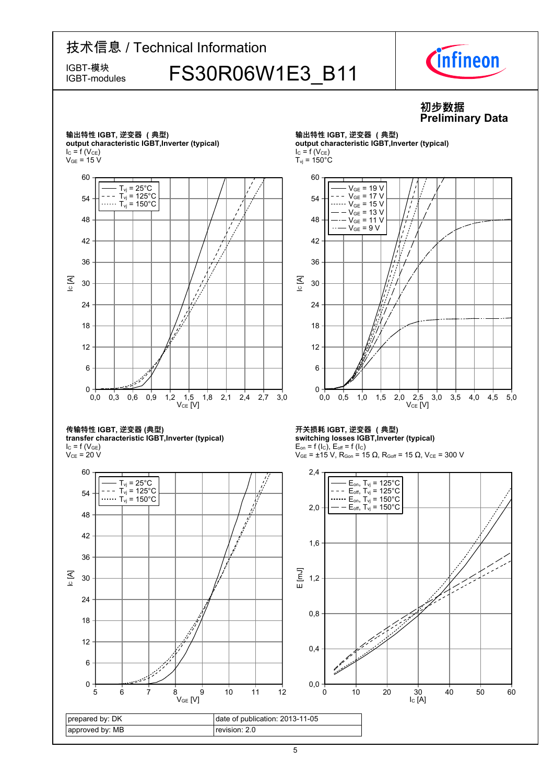

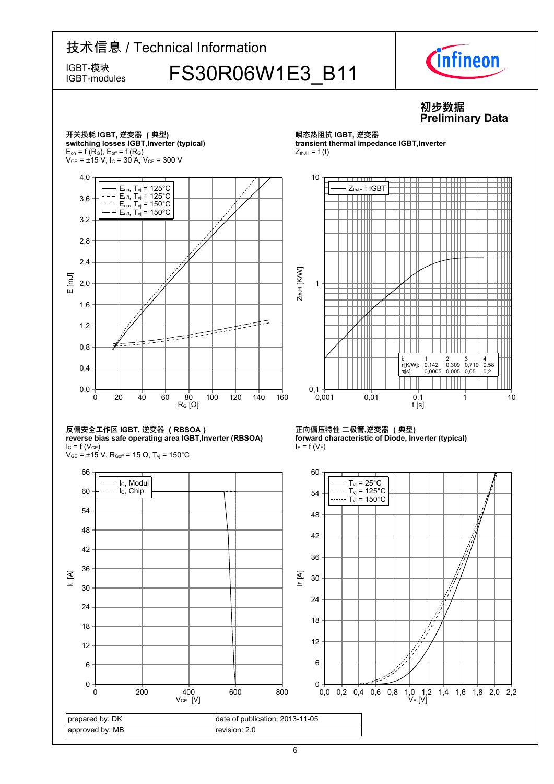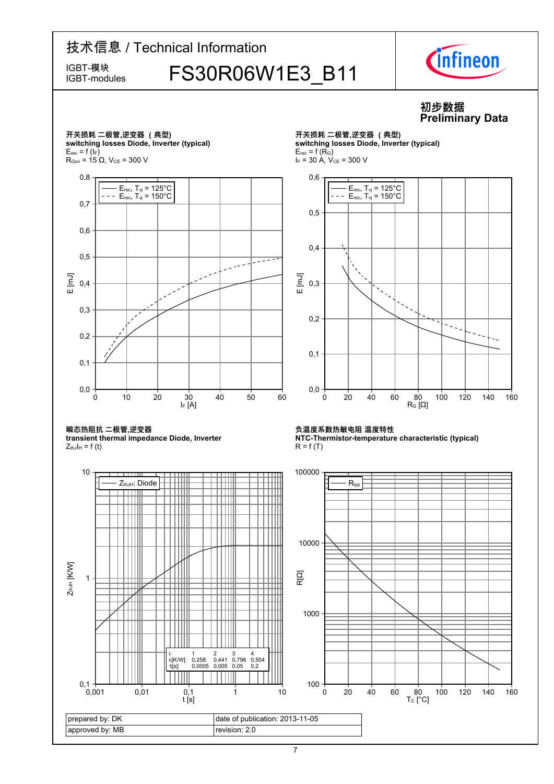## 技术信息 / Technical Information IGBT-模块 FS30R06W1E3\_B11 IGBT-modules



## **初步数据 Preliminary-Data**

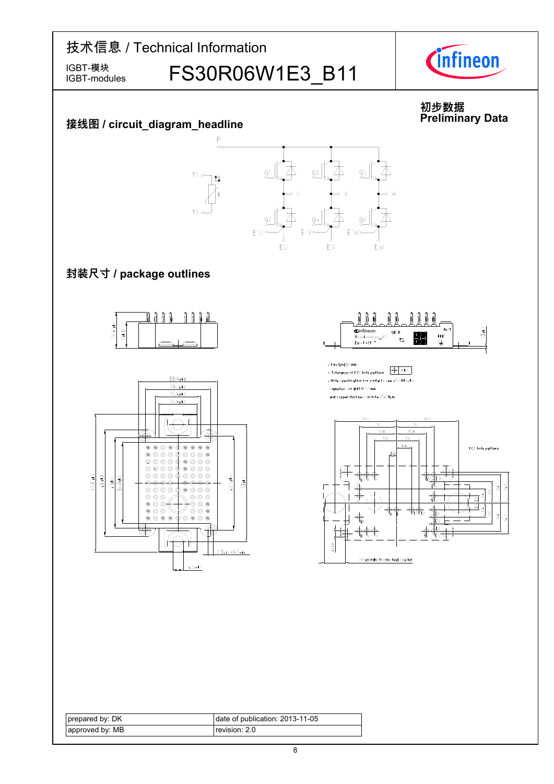

| prepared by: DK | date of publication: 2013-11-05 |
|-----------------|---------------------------------|
| approved by: MB | revision: 2.0 l                 |

◈

ŀ

-n

 $4.5 - 1.1$ 

 $2.3 - 1.1 \times 8.5 - 1.3$ 

 $4 \times 2.8$ 

2x9 according to screw head / washer